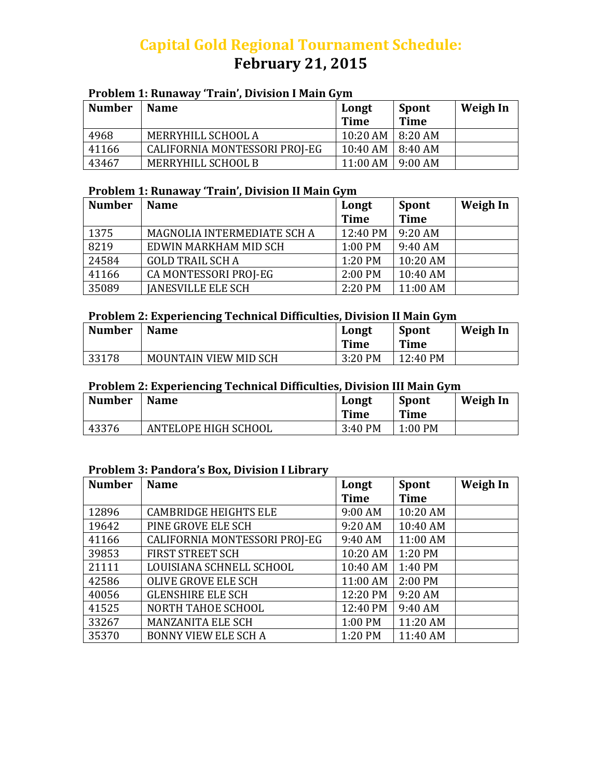# **Capital Gold Regional Tournament Schedule: February 21, 2015**

# **Problem 1: Runaway 'Train', Division I Main Gym**

| <b>Number</b> | <b>Name</b>                   | Longt<br><b>Time</b>      | Spont<br><b>Time</b> | Weigh In |
|---------------|-------------------------------|---------------------------|----------------------|----------|
| 4968          | MERRYHILL SCHOOL A            | $10:20$ AM $\mid$ 8:20 AM |                      |          |
| 41166         | CALIFORNIA MONTESSORI PROJ-EG | $10:40$ AM $\mid 8:40$ AM |                      |          |
| 43467         | MERRYHILL SCHOOL B            | $11:00$ AM                | 9:00 AM              |          |

#### **Problem 1: Runaway 'Train', Division II Main Gym**

| <b>Number</b> | <b>Name</b>                 | Longt       | <b>Spont</b> | <b>Weigh In</b> |
|---------------|-----------------------------|-------------|--------------|-----------------|
|               |                             | <b>Time</b> | <b>Time</b>  |                 |
| 1375          | MAGNOLIA INTERMEDIATE SCH A | 12:40 PM    | $9:20$ AM    |                 |
| 8219          | EDWIN MARKHAM MID SCH       | 1:00 PM     | 9:40 AM      |                 |
| 24584         | <b>GOLD TRAIL SCH A</b>     | 1:20 PM     | 10:20 AM     |                 |
| 41166         | CA MONTESSORI PROJ-EG       | 2:00 PM     | 10:40 AM     |                 |
| 35089         | <b>JANESVILLE ELE SCH</b>   | 2:20 PM     | 11:00 AM     |                 |

## **Problem 2: Experiencing Technical Difficulties, Division II Main Gym**

| <b>Number</b> | <b>Name</b>           | Longt<br>Time | <b>Spont</b><br>Time | Weigh In |
|---------------|-----------------------|---------------|----------------------|----------|
| 33178         | MOUNTAIN VIEW MID SCH | 3:20 PM       | 12:40 PM             |          |

#### **Problem 2: Experiencing Technical Difficulties, Division III Main Gym**

| <b>Number</b> | <b>Name</b>          | Longt<br><b>Time</b> | Spont<br>Time | Weigh In |
|---------------|----------------------|----------------------|---------------|----------|
| 43376         | ANTELOPE HIGH SCHOOL | 3:40 PM              | $1:00$ PM     |          |

## **Problem 3: Pandora's Box, Division I Library**

| <b>Number</b> | <b>Name</b>                   | Longt       | Spont       | <b>Weigh In</b> |
|---------------|-------------------------------|-------------|-------------|-----------------|
|               |                               | <b>Time</b> | <b>Time</b> |                 |
| 12896         | <b>CAMBRIDGE HEIGHTS ELE</b>  | 9:00 AM     | 10:20 AM    |                 |
| 19642         | PINE GROVE ELE SCH            | 9:20 AM     | 10:40 AM    |                 |
| 41166         | CALIFORNIA MONTESSORI PROJ-EG | 9:40 AM     | 11:00 AM    |                 |
| 39853         | <b>FIRST STREET SCH</b>       | 10:20 AM    | 1:20 PM     |                 |
| 21111         | LOUISIANA SCHNELL SCHOOL      | 10:40 AM    | 1:40 PM     |                 |
| 42586         | <b>OLIVE GROVE ELE SCH</b>    | 11:00 AM    | 2:00 PM     |                 |
| 40056         | <b>GLENSHIRE ELE SCH</b>      | 12:20 PM    | 9:20 AM     |                 |
| 41525         | NORTH TAHOE SCHOOL            | 12:40 PM    | 9:40 AM     |                 |
| 33267         | <b>MANZANITA ELE SCH</b>      | 1:00 PM     | 11:20 AM    |                 |
| 35370         | <b>BONNY VIEW ELE SCH A</b>   | 1:20 PM     | 11:40 AM    |                 |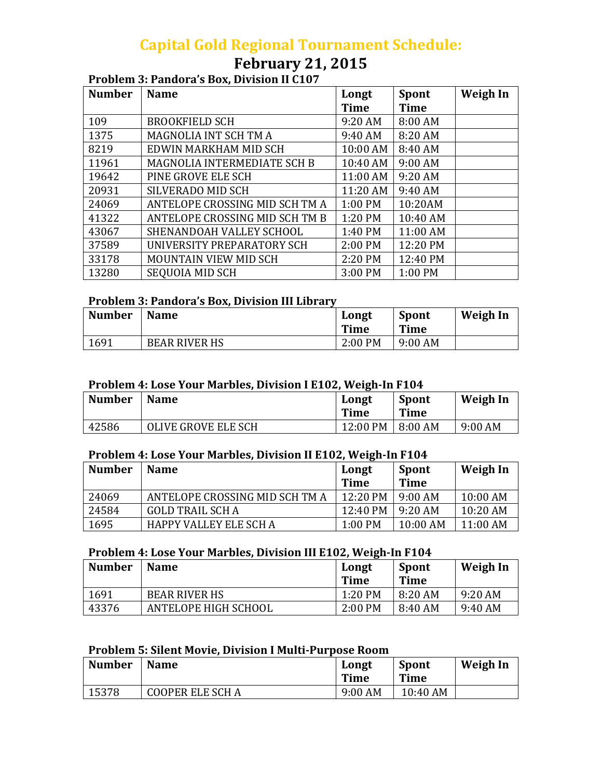# **Capital Gold Regional Tournament Schedule:**

# **February 21, 2015**

## **Problem 3: Pandora's Box, Division II C107**

| <b>Number</b> | <b>Name</b>                        | Longt       | <b>Spont</b> | <b>Weigh In</b> |
|---------------|------------------------------------|-------------|--------------|-----------------|
|               |                                    | <b>Time</b> | <b>Time</b>  |                 |
| 109           | <b>BROOKFIELD SCH</b>              | 9:20 AM     | 8:00 AM      |                 |
| 1375          | MAGNOLIA INT SCH TM A              | 9:40 AM     | 8:20 AM      |                 |
| 8219          | EDWIN MARKHAM MID SCH              | 10:00 AM    | 8:40 AM      |                 |
| 11961         | <b>MAGNOLIA INTERMEDIATE SCH B</b> | 10:40 AM    | 9:00 AM      |                 |
| 19642         | PINE GROVE ELE SCH                 | 11:00 AM    | 9:20 AM      |                 |
| 20931         | SILVERADO MID SCH                  | 11:20 AM    | 9:40 AM      |                 |
| 24069         | ANTELOPE CROSSING MID SCH TM A     | 1:00 PM     | 10:20AM      |                 |
| 41322         | ANTELOPE CROSSING MID SCH TM B     | 1:20 PM     | 10:40 AM     |                 |
| 43067         | SHENANDOAH VALLEY SCHOOL           | 1:40 PM     | 11:00 AM     |                 |
| 37589         | UNIVERSITY PREPARATORY SCH         | 2:00 PM     | 12:20 PM     |                 |
| 33178         | MOUNTAIN VIEW MID SCH              | 2:20 PM     | 12:40 PM     |                 |
| 13280         | <b>SEQUOIA MID SCH</b>             | 3:00 PM     | $1:00$ PM    |                 |

## **Problem 3: Pandora's Box, Division III Library**

| <b>Number</b> | <b>Name</b>          | Longt<br>Time | Spont<br>Time | Weigh In |
|---------------|----------------------|---------------|---------------|----------|
| 1691          | <b>BEAR RIVER HS</b> | $2:00$ PM     | $9:00$ AM     |          |

#### **Problem 4: Lose Your Marbles, Division I E102, Weigh‐In F104**

| <b>Number</b> | <b>Name</b>         | Longt<br><b>Time</b> | <b>Spont</b><br>Time | Weigh In  |
|---------------|---------------------|----------------------|----------------------|-----------|
| 42586         | OLIVE GROVE ELE SCH | 12:00 PM             | 8:00 AM              | $9:00$ AM |

#### **Problem 4: Lose Your Marbles, Division II E102, Weigh‐In F104**

| <b>Number</b> | <b>Name</b>                    | Longt              | Spont      | Weigh In   |
|---------------|--------------------------------|--------------------|------------|------------|
|               |                                | <b>Time</b>        | Time       |            |
| 24069         | ANTELOPE CROSSING MID SCH TM A | $12:20 \text{ PM}$ | $9:00$ AM  | $10:00$ AM |
| 24584         | <b>GOLD TRAIL SCH A</b>        | 12:40 PM           | $9:20$ AM  | $10:20$ AM |
| 1695          | HAPPY VALLEY ELE SCH A         | $1:00$ PM          | $10:00$ AM | $11:00$ AM |

#### **Problem 4: Lose Your Marbles, Division III E102, Weigh‐In F104**

| <b>Number</b> | <b>Name</b>          | Longt<br><b>Time</b> | <b>Spont</b><br>Time | Weigh In  |
|---------------|----------------------|----------------------|----------------------|-----------|
| 1691          | <b>BEAR RIVER HS</b> | 1:20 PM              | 8:20 AM              | $9:20$ AM |
| 43376         | ANTELOPE HIGH SCHOOL | $2:00$ PM            | 8:40 AM              | 9:40 AM   |

#### **Problem 5: Silent Movie, Division I Multi‐Purpose Room**

| <b>Number</b> | <b>Name</b>             | Longt<br><b>Time</b> | <b>Spont</b><br>Time | Weigh In |
|---------------|-------------------------|----------------------|----------------------|----------|
| 15378         | <b>COOPER ELE SCH A</b> | 9:00 AM              | 10:40 AM             |          |